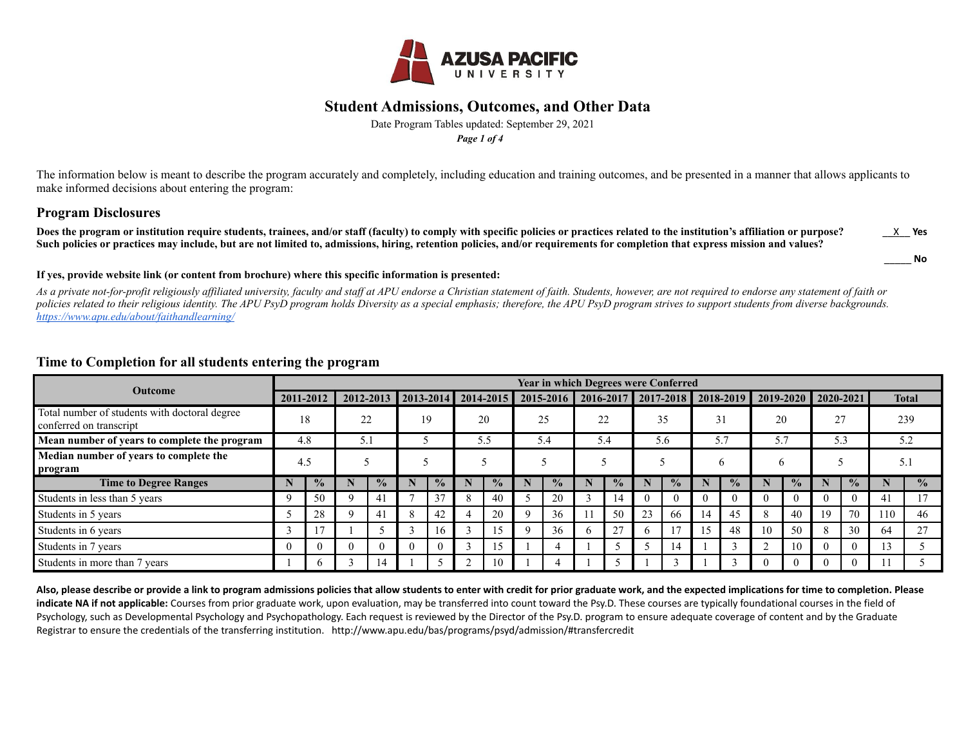

Date Program Tables updated: September 29, 2021 *Page 1 of 4*

The information below is meant to describe the program accurately and completely, including education and training outcomes, and be presented in a manner that allows applicants to make informed decisions about entering the program:

#### **Program Disclosures**

Does the program or institution require students, trainees, and/or staff (faculty) to comply with specific policies or practices related to the institution's affiliation or purpose? **Such policies or practices may include, but are not limited to, admissions, hiring, retention policies, and/or requirements for completion that express mission and values?** \_\_X\_\_ **Yes**

\_\_\_\_\_ **No**

#### **If yes, provide website link (or content from brochure) where this specific information is presented:**

*As a private not-for-profit religiously affiliated university, faculty and staff at APU endorse a Christian statement of faith. Students, however, are not required to endorse any statement of faith or policies related to their religious identity. The APU PsyD program holds Diversity as a special emphasis; therefore, the APU PsyD program strives to support students from diverse backgrounds. https://www.apu.edu/about/faithandlearning/*

#### **Outcome Year in which Degrees were Conferred 2011-2012 2012-2013 2013-2014 2014-2015 2015-2016 2016-2017 2017-2018 2018-2019 2019-2020 2020-2021 Total** Total number of students with doctoral degree  $\frac{18}{22}$  19 20 25 22 35 31 20 27 239 239 239 239 239 **Mean number of years to complete the program** 4.8 5.1 5 5.5 5.4 5.4 5.6 5.7 5.7 5.3 5.2 **Median number of years to complete the program** 4.5 5 5 5 5 5 5 6 6 5 5 5 5 1 **Time to Degree Ranges N % N % N % N % N % N % N % N % N % N % N %** Students in less than 5 years 9 1 9 1 50 9 1 41 1 7 2 37 1 8 1 40 1 5 20 1 3 1 4 1 0 1 0 1 0 1 0 1 0 1 0 1 0 1 0 1 17 Students in 5 years 5 28 9 41 8 42 4 20 9 36 11 50 23 66 14 45 8 40 19 70 110 46 Students in 6 years 2001 2012 2020 12:00 12:00 13 17 1 1 1 1 2 3 16 16 1 3 15 16 17 18 17 18 17 18 17 18 18 10 1 Students in 7 years 0 0 0 0 0 0 0 0 0 0 0 0 0 0 3 0 15 1 0 1 4 0 1 1 5 1 5 1 4 0 1 3 2 10 0 0 13 5 Students in more than 7 years 1 6 3 14 1 5 2 10 1 4 1 5 1 3 1 3 0 0 0 0 11 5

#### **Time to Completion for all students entering the program**

**Also, please describe or provide a link to program admissions policies that allow students to enter with credit for prior graduate work, and the expected implications for time to completion. Please indicate NA if not applicable:** Courses from prior graduate work, upon evaluation, may be transferred into count toward the Psy.D. These courses are typically foundational courses in the field of Psychology, such as Developmental Psychology and Psychopathology. Each request is reviewed by the Director of the Psy.D. program to ensure adequate coverage of content and by the Graduate Registrar to ensure the credentials of the transferring institution. http://www.apu.edu/bas/programs/psyd/admission/#transfercredit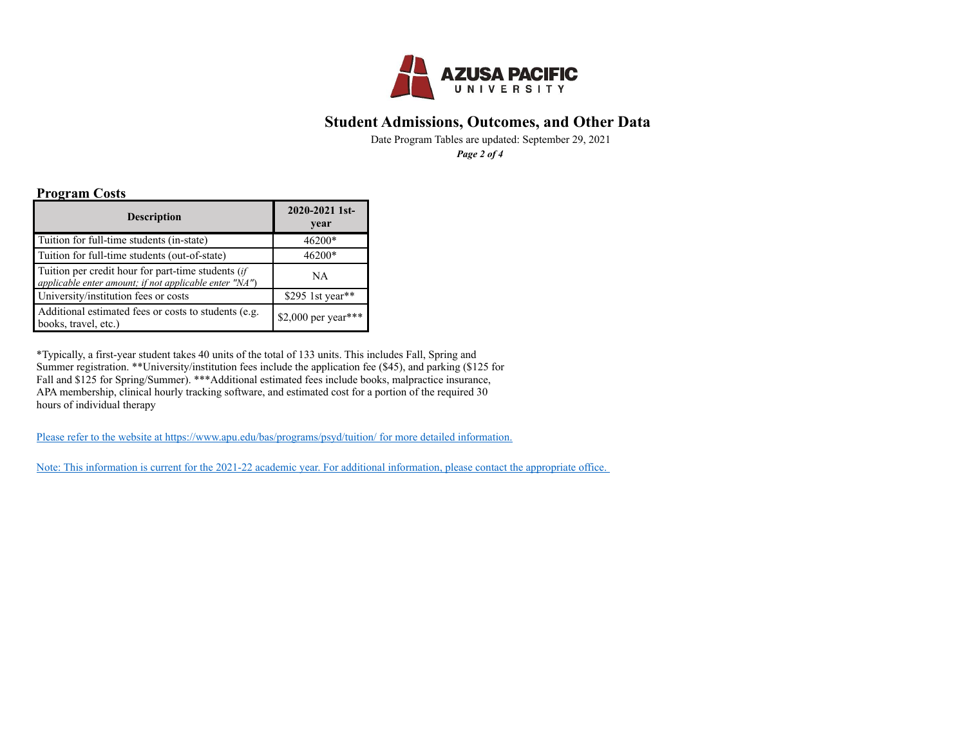

Date Program Tables are updated: September 29, 2021 *Page 2 of 4*

#### **Program Costs**

| <b>Description</b>                                                                                           | 2020-2021 1st-<br>year |
|--------------------------------------------------------------------------------------------------------------|------------------------|
| Tuition for full-time students (in-state)                                                                    | 46200*                 |
| Tuition for full-time students (out-of-state)                                                                | 46200*                 |
| Tuition per credit hour for part-time students (if<br>applicable enter amount; if not applicable enter "NA") | NA                     |
| University/institution fees or costs                                                                         | \$295 1st year**       |
| Additional estimated fees or costs to students (e.g.<br>books, travel, etc.)                                 | \$2,000 per year***    |

\*Typically, a first-year student takes 40 units of the total of 133 units. This includes Fall, Spring and Summer registration. \*\*University/institution fees include the application fee (\$45), and parking (\$125 for Fall and \$125 for Spring/Summer). \*\*\*Additional estimated fees include books, malpractice insurance, APA membership, clinical hourly tracking software, and estimated cost for a portion of the required 30 hours of individual therapy

[Please refer to the website at https://www.apu.edu/bas/programs/psyd/tuition/ for more detailed information.](https://www.apu.edu/bas/programs/psyd/tuition/)

[Note: This information is current for the 2021-22 academic year. For additional information, please contact the appropriate office.](http://www.apu.edu/graduateprofessionalcenter/sfs/contact/)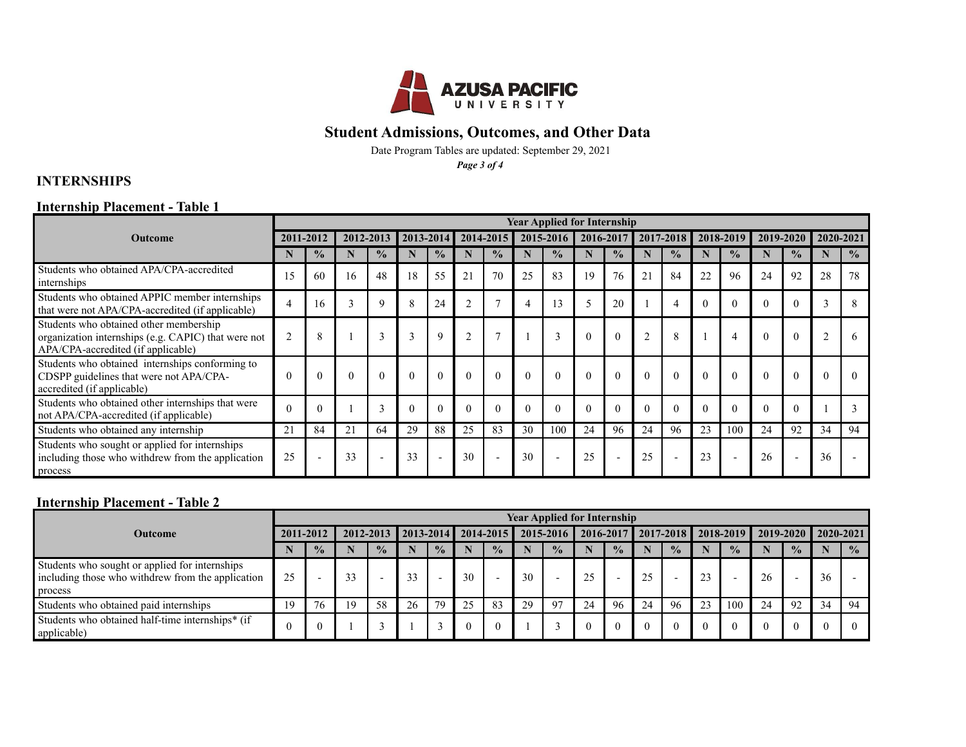

Date Program Tables are updated: September 29, 2021

*Page 3 of 4*

# **INTERNSHIPS**

### **Internship Placement - Table 1**

|                                                                                                                                     | <b>Year Applied for Internship</b> |                          |              |                         |    |                          |    |                          |          |               |          |                          |                |                |          |                          |    |                |                |                         |
|-------------------------------------------------------------------------------------------------------------------------------------|------------------------------------|--------------------------|--------------|-------------------------|----|--------------------------|----|--------------------------|----------|---------------|----------|--------------------------|----------------|----------------|----------|--------------------------|----|----------------|----------------|-------------------------|
| <b>Outcome</b>                                                                                                                      |                                    | 2011-2012                |              | 2012-2013               |    | 2013-2014                |    | $2014 - 2015$            |          | 2015-2016     |          | 2016-2017                |                | 2017-2018      |          | 2018-2019                |    | 2019-2020      |                | 2020-2021               |
|                                                                                                                                     |                                    | $\frac{0}{0}$            |              | $\frac{0}{0}$           |    | $\frac{0}{0}$            |    | $\frac{0}{2}$            |          | $\frac{0}{0}$ |          | $\frac{0}{0}$            |                | $\frac{0}{2}$  | N        | $\frac{0}{0}$            |    | $\frac{0}{2}$  |                | $\frac{0}{0}$           |
| Students who obtained APA/CPA-accredited<br>internships                                                                             |                                    | 60                       | 16           | 48                      | 18 | 55                       | 21 | 70                       | 25       | 83            | 19       | 76                       | 2 <sup>1</sup> | 84             | 22       | 96                       | 24 | 92             | 28             | 78                      |
| Students who obtained APPIC member internships<br>that were not APA/CPA-accredited (if applicable)                                  | 4                                  |                          | $\mathbf{3}$ | $\mathbf Q$             | 8  | 24                       |    |                          | 4        |               | Ć        | 20                       |                |                | $\theta$ | $\Omega$                 |    | $\Omega$       |                | $\mathsf{\overline{R}}$ |
| Students who obtained other membership<br>organization internships (e.g. CAPIC) that were not<br>APA/CPA-accredited (if applicable) | $\overline{2}$                     | 8                        |              | $\sim$<br>$\rightarrow$ |    | 9                        |    | $\mathbf{r}$             |          |               | $\theta$ | $\theta$                 |                | 8              |          | 4                        |    | $\theta$       | $\overline{2}$ | 6                       |
| Students who obtained internships conforming to<br>CDSPP guidelines that were not APA/CPA-<br>accredited (if applicable)            | $\Omega$                           | $\Omega$                 | $\Omega$     |                         |    | $\Omega$                 |    | $\theta$                 | $\Omega$ |               | $\Omega$ | $\Omega$                 |                | $\Omega$       | $\Omega$ | $\Omega$                 |    | $\Omega$       | $\sqrt{ }$     |                         |
| Students who obtained other internships that were<br>not APA/CPA-accredited (if applicable)                                         |                                    | $\Omega$                 |              |                         |    | $\Omega$                 |    |                          | $\Omega$ |               | $\Omega$ | $\theta$                 |                |                | 0        | $\Omega$                 |    | $\Omega$       |                |                         |
| Students who obtained any internship                                                                                                | 21                                 | 84                       | 21           | 64                      | 29 | 88                       | 25 | 83                       | 30       | 100           | 24       | 96                       | 24             | 96             | 23       | 100                      | 24 | 92             | 34             | 94                      |
| Students who sought or applied for internships<br>including those who withdrew from the application<br>process                      | 25                                 | $\overline{\phantom{a}}$ | 33           |                         | 33 | $\overline{\phantom{a}}$ | 30 | $\overline{\phantom{a}}$ | 30       |               | 25       | $\overline{\phantom{a}}$ | 25             | $\overline{a}$ | 23       | $\overline{\phantom{a}}$ | 26 | $\overline{a}$ | 36             |                         |

# **Internship Placement - Table 2**

|                                                                                                                 | <b>Year Applied for Internship</b> |               |    |               |    |                               |    |                          |    |               |    |                          |          |                                   |    |               |                     |                          |    |               |
|-----------------------------------------------------------------------------------------------------------------|------------------------------------|---------------|----|---------------|----|-------------------------------|----|--------------------------|----|---------------|----|--------------------------|----------|-----------------------------------|----|---------------|---------------------|--------------------------|----|---------------|
| <b>Outcome</b>                                                                                                  |                                    | 2011-2012     |    |               |    | 2012-2013 2013-2014 2014-2015 |    |                          |    |               |    |                          |          | 2015-2016   2016-2017   2017-2018 |    | 2018-2019     | 2019-2020 2020-2021 |                          |    |               |
|                                                                                                                 |                                    | $\frac{0}{2}$ |    | $\frac{0}{2}$ |    | $\frac{0}{0}$                 |    | $\frac{0}{0}$            |    | $\frac{0}{2}$ |    | $\frac{0}{2}$            |          | $\frac{0}{2}$                     |    | $\frac{0}{2}$ |                     | $\frac{0}{0}$            |    | $\frac{0}{2}$ |
| Students who sought or applied for internships<br>including those who with drew from the application<br>process | 25                                 |               | 33 |               | 33 | $\overline{\phantom{a}}$      | 30 | $\overline{\phantom{0}}$ | 30 |               | 25 | $\overline{\phantom{0}}$ | $\gamma$ | $\overline{\phantom{0}}$          | 23 |               | 26                  | $\overline{\phantom{a}}$ | 36 |               |
| Students who obtained paid internships                                                                          | 19                                 | 76            | 19 | 58            | 26 | 79                            | 25 | 83                       | 29 | Q7            | 24 | 96                       | 24       | 96                                | 23 | 100           | 24                  | 92                       | 34 | 94            |
| Students who obtained half-time internships* (if<br>applicable)                                                 |                                    |               |    |               |    |                               |    | 0                        |    |               |    | $\theta$                 |          |                                   |    |               |                     |                          |    |               |